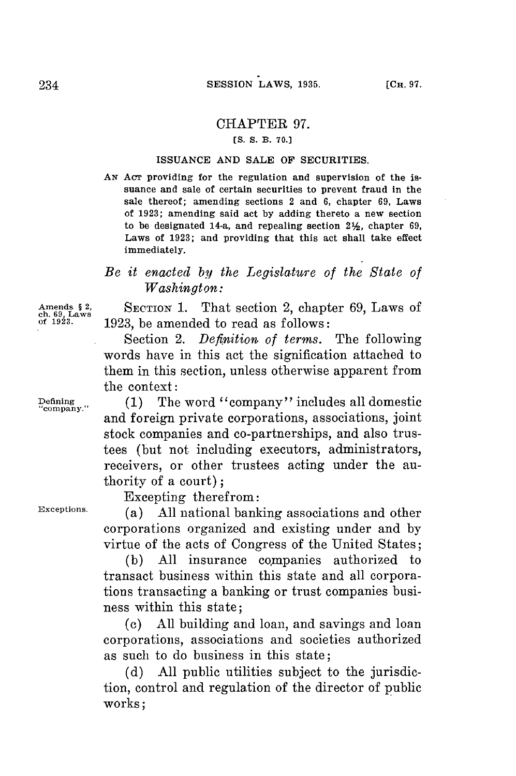## CHAPTER **97.**

### *[S. S.* **B. 70.]**

#### **ISSUANCE AND SALE** OF **SECURITIES.**

AN Act providing for the regulation and supervision of the issuance and sale of certain securities to prevent fraud in the sale thereof; amending sections 2 and **6,** chapter **69,** Laws of **1923;** amending said act **by** adding thereto a new section to be designated 14-a, and repealing section 2%, chapter **69,** Laws of **1923;** and providing that this act shall take effect immediately.

# *Be it enacted by the Legislature of the State of Washington:*

Amends § 2, SECTION 1. That section 2, chapter 69, Laws of the 1923.<br>
of 1923.<br> **Ch. 6928.**<br> **Amends 1929.** he amended to read as follows: **of 1923. 1923,** be amended to read as follows:

> Section 2. *Definition of terms.* The following words have in this act the signification attached to them in this section, unless otherwise apparent from the context:

**Defining (1)** The word "company" includes all domestic **"company.** and foreign private corporations, associations, joint stock companies and co-partnerships, and also trustees (but not including executors, administrators, receivers, or other trustees acting under the authority of a court);

Excepting therefrom:

**Exceptions.** (a) **All** national banking associations and other corporations organized and existing under and **by** virtue of the acts of Congress of the United States;

> **(b) All** insurance companies authorized to transact business within this state and all corporations transacting a banking or trust companies business within this state;

> (c) **All** building and loan, and savings and loan corporations, associations and societies authorized as such to do business in this state;

> **(d) All** public utilities subject to the jurisdiction, control and regulation of the director of public works;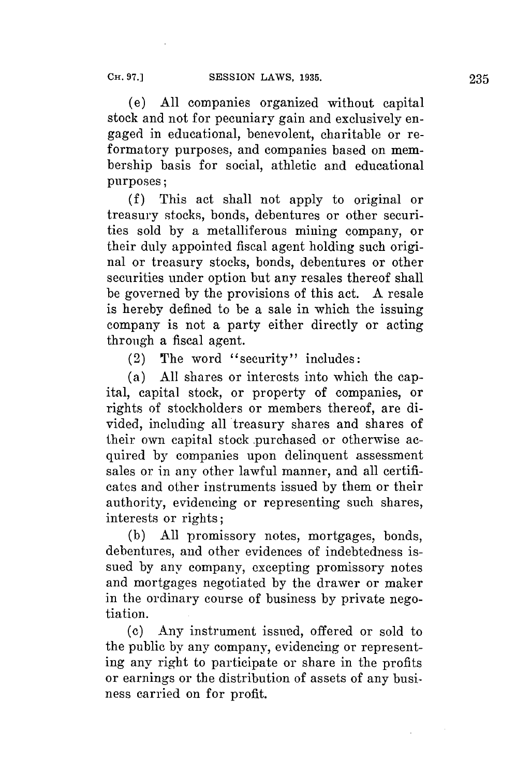(e) **All** companies organized without capital stock and not **for** pecuniary gain and exclusively engaged in educational, benevolent, charitable or reformatory purposes, and companies based on membership basis for social, athletic and educational purposes;

**(f)** This act shall not apply to original or treasury stocks, bonds, debentures or other securities sold **by** a metalliferous mining company, or their duly appointed fiscal agent holding such original or treasury stocks, bonds, debentures or other securities under option but any resales thereof shall be governed **by** the provisions of this act. **A** resale is hereby defined to be a sale in which the issuing company is not a party either directly or acting through a fiscal agent.

(2) The word "security" includes:

(a) **All** shares or interests into which the capital, capital stock, or property of companies, or rights of stockholders or members thereof, are divided, including all treasury shares and shares of their own capital stock .purchased or otherwise acquired **by** companies upon delinquent assessment sales or in any other lawful manner, and all certificates and other instruments issued **by** them or their authority, evidencing or representing such shares, interests or rights;

**(b) All** promissory notes, mortgages, bonds, debentures, and other evidences of indebtedness issued **by** any company, excepting promissory notes and mortgages negotiated **by** the drawer or maker in the ordinary course of business **by** private negotiation.

**(c)** Any instrument issued, offered or sold to the public **by** any company, evidencing or representing any right to participate or share in the profits or earnings or the distribution of assets of any business carried on for profit.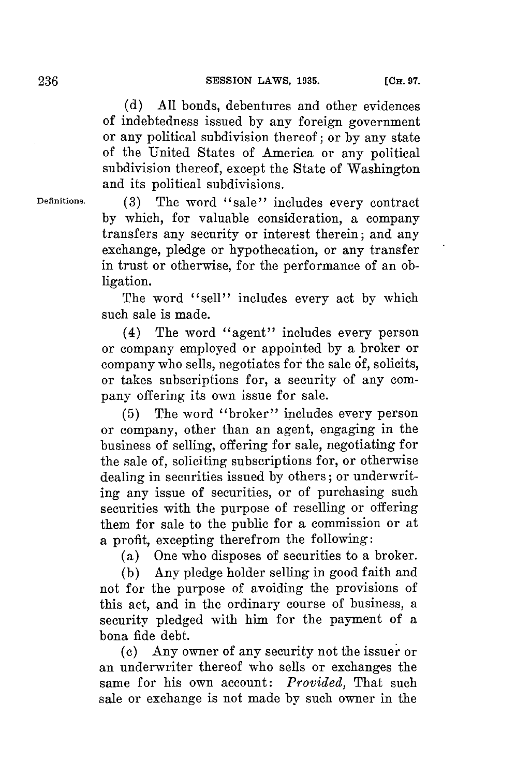**(d) All** bonds, debentures and other evidences of indebtedness issued **by** any foreign government or any political subdivision thereof; or **by** any state of the United States of America or any political subdivision thereof, except the State of Washington and its political subdivisions.

**Definitions. (3)** The word "sale" includes every contract **by** which, for valuable consideration, a company transfers any security or interest therein; and any exchange, pledge or hypothecation, or any transfer in trust or otherwise, for the performance of an obligation.

> The word "sell" includes every act **by** which such sale is made.

> (4) The word "agent" includes every person or company employed or appointed **by** a broker or company who sells, negotiates **for** the sale **6f,** solicits, or takes subscriptions for, a security of any company offering its own issue for sale.

> **(5)** The word "broker" includes every person or company, other than an agent, engaging in the business of selling, offering for sale, negotiating for the sale of, soliciting subscriptions for, or otherwise dealing in securities issued **by** others; or underwriting any issue of securities, or of purchasing such securities with the purpose of reselling or offering them for sale to the public **for** a commission or at a profit, excepting therefrom the following:

(a) One who disposes of securities to a broker.

**(b)** Any pledge holder selling in good faith and not for the purpose of avoiding the provisions of this act, and in the ordinary course of business, a security pledged with him **for** the payment of a bona fide debt.

**(c)** Any owner of any security not the issuer or an underwriter thereof who sells or exchanges the same **for** his own account: *Provided,* That such sale or exchange is not made by such owner in the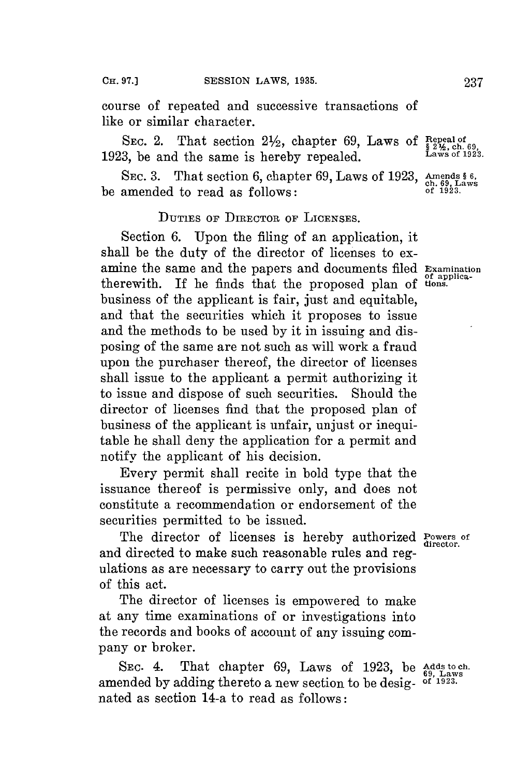course of repeated and successive transactions of like or similar character.

SEC. 2. That section  $2\frac{1}{2}$ , chapter 69, Laws of Repeal of  $\frac{1}{2}$  2%, ch. 69 **1923,** be and the same is hereby repealed. **Laws of 1923.**

SEC. 3. That section 6, chapter 69, Laws of 1923, Amends § 6, be amended to read as follows: **of 1923**.

## **DUTIES OF DIRECTOR** or **LICENSES.**

Section **6.** Upon the filing of an application, it shall be the duty of the director of licenses to examine the same and the papers and documents filed **Examination** therewith. If he finds that the proposed plan of tions. business of the applicant is fair, just and equitable, and that the securities which it proposes to issue and the methods to be used **by** it in issuing and disposing of the same are not such as will work a fraud upon the purchaser thereof, the director of licenses shall issue to the applicant a permit authorizing it to issue and dispose of such securities. Should the director of licenses find that the proposed plan of business of the applicant is unfair, unjust or inequitable he shall deny the application for a permit and notify the applicant of his decision.

Every permit shall recite in bold type that the issuance thereof is permissive only, and does not constitute a recommendation or endorsement of the securities permitted to be issued.

The director of licenses is hereby authorized **Powers** of and directed to make such reasonable rules and regulations as are necessary to carry out the provisions of this act.

The director of licenses is empowered to make at any time examinations of or investigations into the records and books of account of any issuing company or broker.

**SEC.** 4. That chapter **69,** Laws of **1923,** be **Adds to ch. 69,** Laws amended **by** adding thereto a new section to be desig- **of 1923.** nated as section 14-a to read as follows: